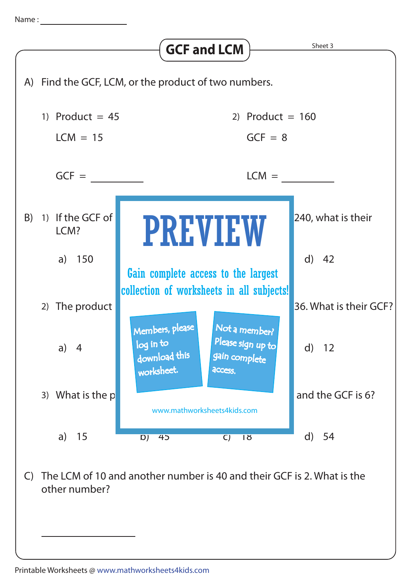